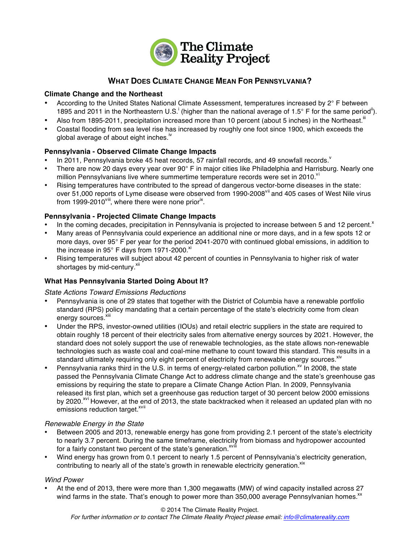

# **WHAT DOES CLIMATE CHANGE MEAN FOR PENNSYLVANIA?**

## **Climate Change and the Northeast**

- According to the United States National Climate Assessment, temperatures increased by 2° F between 1895 and 2011 in the Northeastern U.S.<sup>i</sup> (higher than the national average of 1.5° F for the same period<sup>ii</sup>).
- Also from 1895-2011, precipitation increased more than 10 percent (about 5 inches) in the Northeast.<sup>iii</sup>
- Coastal flooding from sea level rise has increased by roughly one foot since 1900, which exceeds the global average of about eight inches. $^{\text{iv}}$

## **Pennsylvania - Observed Climate Change Impacts**

- In 2011, Pennsylvania broke 45 heat records, 57 rainfall records, and 49 snowfall records.
- There are now 20 days every year over 90° F in major cities like Philadelphia and Harrisburg. Nearly one million Pennsylvanians live where summertime temperature records were set in 2010. $v^i$
- Rising temperatures have contributed to the spread of dangerous vector-borne diseases in the state: over 51,000 reports of Lyme disease were observed from 1990-2008<sup>vii</sup> and 405 cases of West Nile virus from 1999-2010<sup>viii</sup>, where there were none prior<sup>ix</sup>.

## **Pennsylvania - Projected Climate Change Impacts**

- In the coming decades, precipitation in Pennsylvania is projected to increase between 5 and 12 percent.<sup>x</sup>
- Many areas of Pennsylvania could experience an additional nine or more days, and in a few spots 12 or more days, over 95° F per year for the period 2041-2070 with continued global emissions, in addition to the increase in 95 $^{\circ}$  F days from 1971-2000.<sup>xi</sup>
- Rising temperatures will subject about 42 percent of counties in Pennsylvania to higher risk of water shortages by mid-century.<sup>xii</sup>

## **What Has Pennsylvania Started Doing About It?**

*State Actions Toward Emissions Reductions*

- Pennsylvania is one of 29 states that together with the District of Columbia have a renewable portfolio standard (RPS) policy mandating that a certain percentage of the state's electricity come from clean energy sources.<sup>xi</sup>
- Under the RPS, investor-owned utilities (IOUs) and retail electric suppliers in the state are required to obtain roughly 18 percent of their electricity sales from alternative energy sources by 2021. However, the standard does not solely support the use of renewable technologies, as the state allows non-renewable technologies such as waste coal and coal-mine methane to count toward this standard. This results in a standard ultimately requiring only eight percent of electricity from renewable energy sources.<sup>xiv</sup>
- Pennsylvania ranks third in the U.S. in terms of energy-related carbon pollution.<sup>xv</sup> In 2008, the state passed the Pennsylvania Climate Change Act to address climate change and the state's greenhouse gas emissions by requiring the state to prepare a Climate Change Action Plan. In 2009, Pennsylvania released its first plan, which set a greenhouse gas reduction target of 30 percent below 2000 emissions by 2020.<sup>xvi</sup> However, at the end of 2013, the state backtracked when it released an updated plan with no emissions reduction target.<sup>xvii</sup>

## *Renewable Energy in the State*

- Between 2005 and 2013, renewable energy has gone from providing 2.1 percent of the state's electricity to nearly 3.7 percent. During the same timeframe, electricity from biomass and hydropower accounted for a fairly constant two percent of the state's generation.<sup>xvili</sup>
- Wind energy has grown from 0.1 percent to nearly 1.5 percent of Pennsylvania's electricity generation, contributing to nearly all of the state's growth in renewable electricity generation.<sup>xix</sup>

## *Wind Power*

• At the end of 2013, there were more than 1,300 megawatts (MW) of wind capacity installed across 27 wind farms in the state. That's enough to power more than 350,000 average Pennsylvanian homes.<sup>xx</sup>